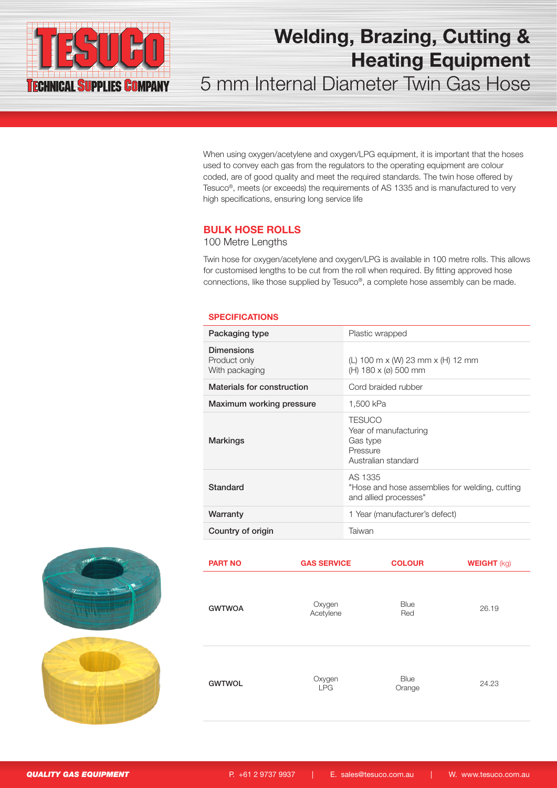

5 mm Internal Diameter Twin Gas Hose

When using oxygen/acetylene and oxygen/LPG equipment, it is important that the hoses used to convey each gas from the regulators to the operating equipment are colour coded, are of good quality and meet the required standards. The twin hose offered by Tesuco®, meets (or exceeds) the requirements of AS 1335 and is manufactured to very high specifications, ensuring long service life

#### BULK HOSE ROLLS

### 100 Metre Lengths

Twin hose for oxygen/acetylene and oxygen/LPG is available in 100 metre rolls. This allows for customised lengths to be cut from the roll when required. By fitting approved hose connections, like those supplied by Tesuco®, a complete hose assembly can be made.

#### **SPECIFICATIONS**

| Packaging type                                      | Plastic wrapped                                                                       |
|-----------------------------------------------------|---------------------------------------------------------------------------------------|
| <b>Dimensions</b><br>Product only<br>With packaging | (L) 100 m x (W) 23 mm x (H) 12 mm<br>$(H) 180 \times (0) 500$ mm                      |
| Materials for construction                          | Cord braided rubber                                                                   |
| Maximum working pressure                            | 1.500 kPa                                                                             |
| Markings                                            | <b>TESUCO</b><br>Year of manufacturing<br>Gas type<br>Pressure<br>Australian standard |
| Standard                                            | AS 1335<br>"Hose and hose assemblies for welding, cutting<br>and allied processes"    |
| Warranty                                            | 1 Year (manufacturer's defect)                                                        |
| Country of origin                                   | Taiwan                                                                                |



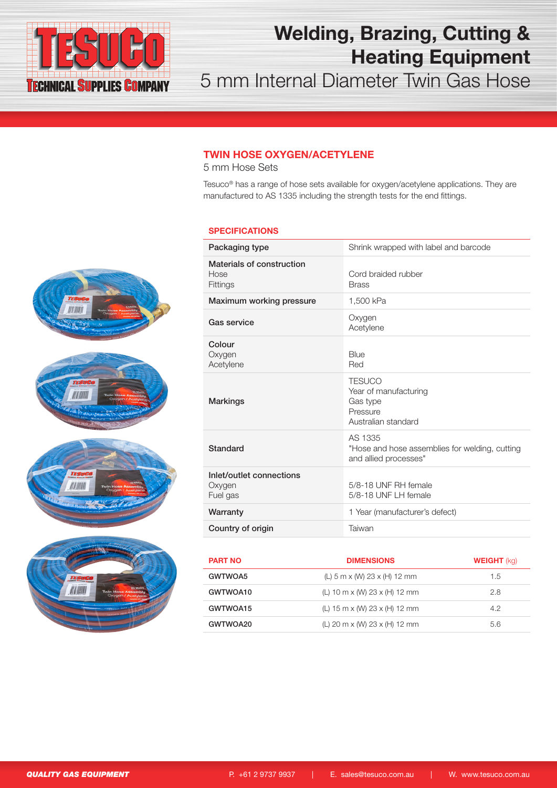

5 mm Internal Diameter Twin Gas Hose

### TWIN HOSE OXYGEN/ACETYLENE

5 mm Hose Sets

Tesuco® has a range of hose sets available for oxygen/acetylene applications. They are manufactured to AS 1335 including the strength tests for the end fittings.

#### **SPECIFICATIONS**

| Packaging type                                 | Shrink wrapped with label and barcode                                                 |
|------------------------------------------------|---------------------------------------------------------------------------------------|
| Materials of construction<br>Hose<br>Fittings  | Cord braided rubber<br><b>Brass</b>                                                   |
| Maximum working pressure                       | 1,500 kPa                                                                             |
| Gas service                                    | Oxygen<br>Acetylene                                                                   |
| Colour<br>Oxygen<br>Acetylene                  | Blue<br>Red                                                                           |
| <b>Markings</b>                                | <b>TESUCO</b><br>Year of manufacturing<br>Gas type<br>Pressure<br>Australian standard |
| Standard                                       | AS 1335<br>"Hose and hose assemblies for welding, cutting<br>and allied processes"    |
| Inlet/outlet connections<br>Oxygen<br>Fuel gas | 5/8-18 UNF RH female<br>5/8-18 UNF LH female                                          |
| Warranty                                       | 1 Year (manufacturer's defect)                                                        |
| Country of origin                              | Taiwan                                                                                |
|                                                |                                                                                       |

| <b>PART NO</b> | <b>DIMENSIONS</b>                                  | <b>WEIGHT</b> (kg) |
|----------------|----------------------------------------------------|--------------------|
| GWTWOA5        | (L) $5 \text{ m} \times$ (W) 23 $\times$ (H) 12 mm | 1.5                |
| GWTWOA10       | (L) 10 m x (W) 23 x (H) 12 mm                      | 2.8                |
| GWTWOA15       | (L) 15 m x (W) 23 x (H) 12 mm                      | 4.2                |
| GWTWOA20       | (L) 20 m x (W) 23 x (H) 12 mm                      | 5.6                |



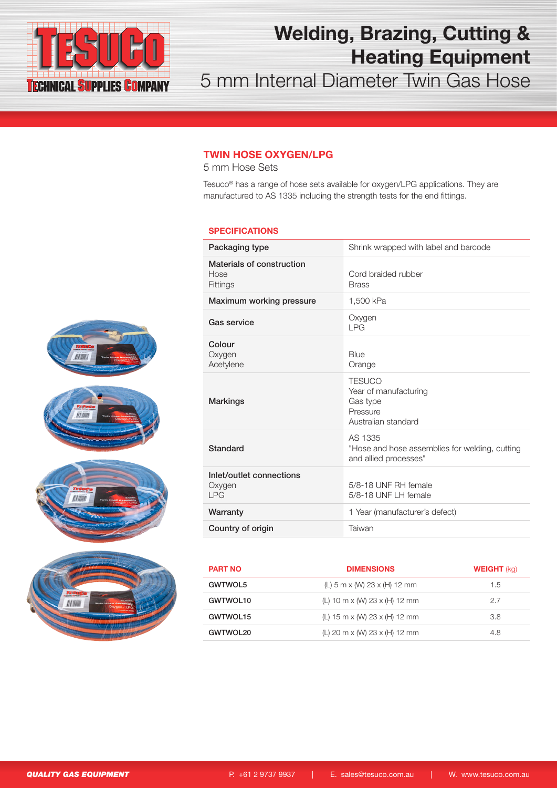

5 mm Internal Diameter Twin Gas Hose

### TWIN HOSE OXYGEN/LPG

5 mm Hose Sets

Tesuco® has a range of hose sets available for oxygen/LPG applications. They are manufactured to AS 1335 including the strength tests for the end fittings.

#### **SPECIFICATIONS**

| Packaging type                                       | Shrink wrapped with label and barcode                                                 |
|------------------------------------------------------|---------------------------------------------------------------------------------------|
| Materials of construction<br>Hose<br><b>Fittings</b> | Cord braided rubber<br><b>Brass</b>                                                   |
| Maximum working pressure                             | 1,500 kPa                                                                             |
| Gas service                                          | Oxygen<br>I PG                                                                        |
| Colour<br>Oxygen<br>Acetylene                        | Blue<br>Orange                                                                        |
| <b>Markings</b>                                      | <b>TESUCO</b><br>Year of manufacturing<br>Gas type<br>Pressure<br>Australian standard |
| Standard                                             | AS 1335<br>"Hose and hose assemblies for welding, cutting<br>and allied processes"    |
| Inlet/outlet connections<br>Oxygen<br><b>LPG</b>     | 5/8-18 UNF RH female<br>5/8-18 UNF LH female                                          |
| Warranty                                             | 1 Year (manufacturer's defect)                                                        |
| Country of origin                                    | Taiwan                                                                                |
|                                                      |                                                                                       |

| <b>PART NO</b> | <b>DIMENSIONS</b>                                             | <b>WEIGHT</b> (kg) |
|----------------|---------------------------------------------------------------|--------------------|
| GWTWOL5        | (L) $5 \text{ m} \times$ (W) 23 $\times$ (H) 12 mm            | 1.5                |
| GWTWOL10       | (L) 10 m x (W) 23 x (H) 12 mm                                 | 2.7                |
| GWTWOL15       | (L) $15 \text{ m} \times$ (W) $23 \times$ (H) $12 \text{ mm}$ | 3.8                |
| GWTWOL20       | (L) 20 m x (W) 23 x (H) 12 mm                                 | 4.8                |